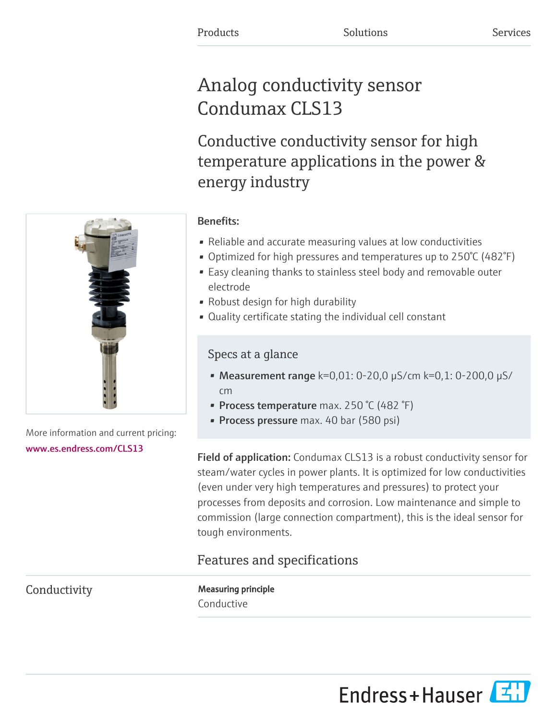# Analog conductivity sensor Condumax CLS13

Conductive conductivity sensor for high temperature applications in the power & energy industry



- Reliable and accurate measuring values at low conductivities
- Optimized for high pressures and temperatures up to 250°C (482°F)
- Easy cleaning thanks to stainless steel body and removable outer electrode
- Robust design for high durability
- Quality certificate stating the individual cell constant

# Specs at a glance

- Measurement range  $k=0,01: 0-20,0 \mu S/cm k=0,1: 0-200,0 \mu S/m$ cm
- Process temperature max. 250 °C (482 °F)
- **Process pressure** max. 40 bar (580 psi)

Field of application: Condumax CLS13 is a robust conductivity sensor for steam/water cycles in power plants. It is optimized for low conductivities (even under very high temperatures and pressures) to protect your processes from deposits and corrosion. Low maintenance and simple to commission (large connection compartment), this is the ideal sensor for tough environments.

# Features and specifications

Conductivity **Measuring principle** Conductive





More information and current pricing: [www.es.endress.com/CLS13](https://www.es.endress.com/CLS13)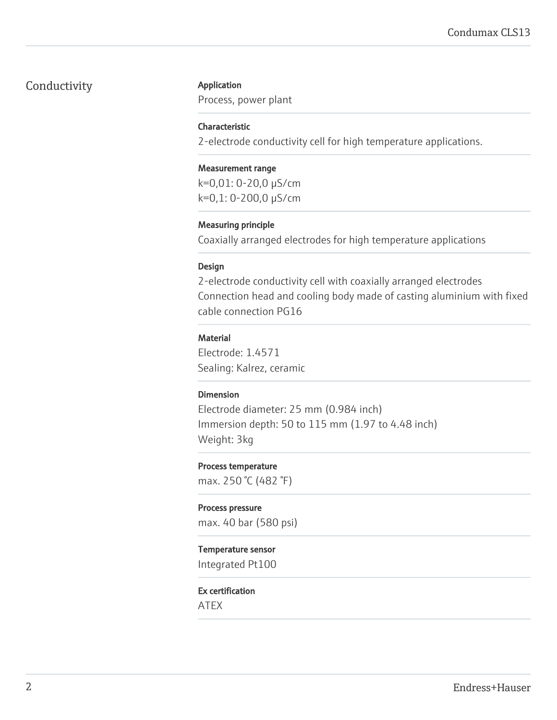# Conductivity **Application**

Process, power plant

#### Characteristic

2-electrode conductivity cell for high temperature applications.

#### Measurement range

k=0,01: 0-20,0 µS/cm k=0,1: 0-200,0 µS/cm

#### Measuring principle

Coaxially arranged electrodes for high temperature applications

#### Design

2-electrode conductivity cell with coaxially arranged electrodes Connection head and cooling body made of casting aluminium with fixed cable connection PG16

#### **Material**

Electrode: 1.4571 Sealing: Kalrez, ceramic

#### Dimension

Electrode diameter: 25 mm (0.984 inch) Immersion depth: 50 to 115 mm (1.97 to 4.48 inch) Weight: 3kg

#### Process temperature

max. 250 °C (482 °F)

#### Process pressure max. 40 bar (580 psi)

#### Temperature sensor

Integrated Pt100

#### Ex certification

ATEX